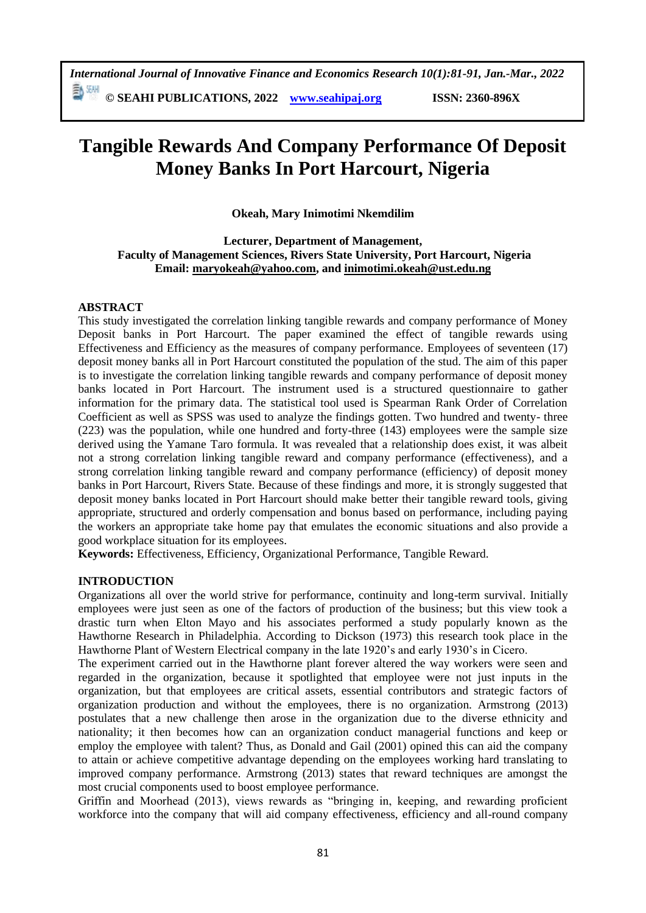# **Tangible Rewards And Company Performance Of Deposit Money Banks In Port Harcourt, Nigeria**

**Okeah, Mary Inimotimi Nkemdilim**

**Lecturer, Department of Management, Faculty of Management Sciences, Rivers State University, Port Harcourt, Nigeria Email: maryokeah@yahoo.com, and [inimotimi.okeah@ust.edu.ng](mailto:inimotimi.okeah@ust.edu.ng)**

## **ABSTRACT**

This study investigated the correlation linking tangible rewards and company performance of Money Deposit banks in Port Harcourt. The paper examined the effect of tangible rewards using Effectiveness and Efficiency as the measures of company performance. Employees of seventeen (17) deposit money banks all in Port Harcourt constituted the population of the stud. The aim of this paper is to investigate the correlation linking tangible rewards and company performance of deposit money banks located in Port Harcourt. The instrument used is a structured questionnaire to gather information for the primary data. The statistical tool used is Spearman Rank Order of Correlation Coefficient as well as SPSS was used to analyze the findings gotten. Two hundred and twenty- three (223) was the population, while one hundred and forty-three (143) employees were the sample size derived using the Yamane Taro formula. It was revealed that a relationship does exist, it was albeit not a strong correlation linking tangible reward and company performance (effectiveness), and a strong correlation linking tangible reward and company performance (efficiency) of deposit money banks in Port Harcourt, Rivers State. Because of these findings and more, it is strongly suggested that deposit money banks located in Port Harcourt should make better their tangible reward tools, giving appropriate, structured and orderly compensation and bonus based on performance, including paying the workers an appropriate take home pay that emulates the economic situations and also provide a good workplace situation for its employees.

**Keywords:** Effectiveness, Efficiency, Organizational Performance, Tangible Reward.

## **INTRODUCTION**

Organizations all over the world strive for performance, continuity and long-term survival. Initially employees were just seen as one of the factors of production of the business; but this view took a drastic turn when Elton Mayo and his associates performed a study popularly known as the Hawthorne Research in Philadelphia. According to Dickson (1973) this research took place in the Hawthorne Plant of Western Electrical company in the late 1920's and early 1930's in Cicero.

The experiment carried out in the Hawthorne plant forever altered the way workers were seen and regarded in the organization, because it spotlighted that employee were not just inputs in the organization, but that employees are critical assets, essential contributors and strategic factors of organization production and without the employees, there is no organization. Armstrong (2013) postulates that a new challenge then arose in the organization due to the diverse ethnicity and nationality; it then becomes how can an organization conduct managerial functions and keep or employ the employee with talent? Thus, as Donald and Gail (2001) opined this can aid the company to attain or achieve competitive advantage depending on the employees working hard translating to improved company performance. Armstrong (2013) states that reward techniques are amongst the most crucial components used to boost employee performance.

Griffin and Moorhead (2013), views rewards as "bringing in, keeping, and rewarding proficient workforce into the company that will aid company effectiveness, efficiency and all-round company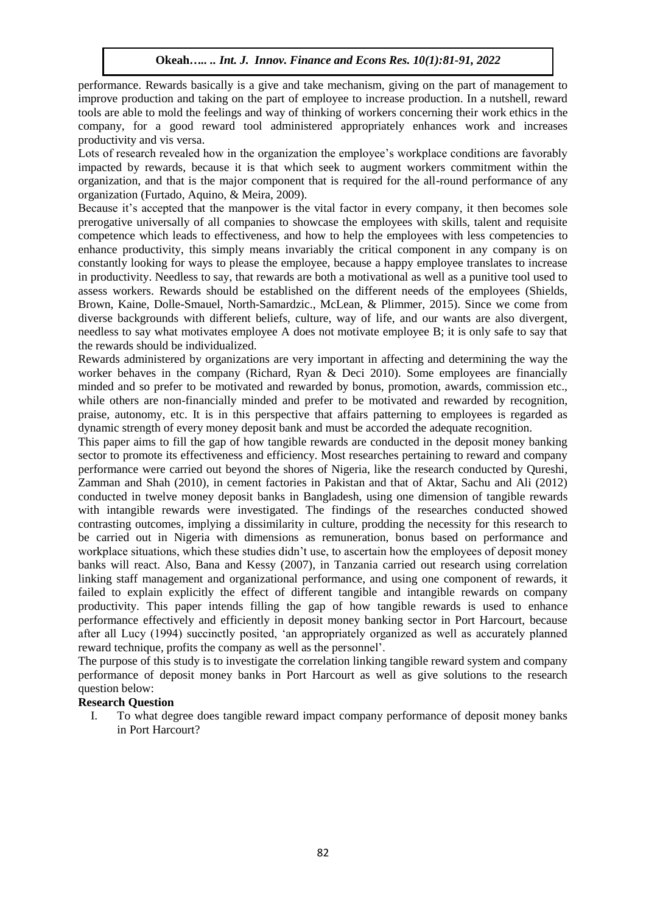performance. Rewards basically is a give and take mechanism, giving on the part of management to improve production and taking on the part of employee to increase production. In a nutshell, reward tools are able to mold the feelings and way of thinking of workers concerning their work ethics in the company, for a good reward tool administered appropriately enhances work and increases productivity and vis versa.

Lots of research revealed how in the organization the employee's workplace conditions are favorably impacted by rewards, because it is that which seek to augment workers commitment within the organization, and that is the major component that is required for the all-round performance of any organization (Furtado, Aquino, & Meira, 2009).

Because it's accepted that the manpower is the vital factor in every company, it then becomes sole prerogative universally of all companies to showcase the employees with skills, talent and requisite competence which leads to effectiveness, and how to help the employees with less competencies to enhance productivity, this simply means invariably the critical component in any company is on constantly looking for ways to please the employee, because a happy employee translates to increase in productivity. Needless to say, that rewards are both a motivational as well as a punitive tool used to assess workers. Rewards should be established on the different needs of the employees (Shields, Brown, Kaine, Dolle-Smauel, North-Samardzic., McLean, & Plimmer, 2015). Since we come from diverse backgrounds with different beliefs, culture, way of life, and our wants are also divergent, needless to say what motivates employee A does not motivate employee B; it is only safe to say that the rewards should be individualized.

Rewards administered by organizations are very important in affecting and determining the way the worker behaves in the company (Richard, Ryan & Deci 2010). Some employees are financially minded and so prefer to be motivated and rewarded by bonus, promotion, awards, commission etc., while others are non-financially minded and prefer to be motivated and rewarded by recognition, praise, autonomy, etc. It is in this perspective that affairs patterning to employees is regarded as dynamic strength of every money deposit bank and must be accorded the adequate recognition.

This paper aims to fill the gap of how tangible rewards are conducted in the deposit money banking sector to promote its effectiveness and efficiency. Most researches pertaining to reward and company performance were carried out beyond the shores of Nigeria, like the research conducted by Qureshi, Zamman and Shah (2010), in cement factories in Pakistan and that of Aktar, Sachu and Ali (2012) conducted in twelve money deposit banks in Bangladesh, using one dimension of tangible rewards with intangible rewards were investigated. The findings of the researches conducted showed contrasting outcomes, implying a dissimilarity in culture, prodding the necessity for this research to be carried out in Nigeria with dimensions as remuneration, bonus based on performance and workplace situations, which these studies didn't use, to ascertain how the employees of deposit money banks will react. Also, Bana and Kessy (2007), in Tanzania carried out research using correlation linking staff management and organizational performance, and using one component of rewards, it failed to explain explicitly the effect of different tangible and intangible rewards on company productivity. This paper intends filling the gap of how tangible rewards is used to enhance performance effectively and efficiently in deposit money banking sector in Port Harcourt, because after all Lucy (1994) succinctly posited, 'an appropriately organized as well as accurately planned reward technique, profits the company as well as the personnel'.

The purpose of this study is to investigate the correlation linking tangible reward system and company performance of deposit money banks in Port Harcourt as well as give solutions to the research question below:

#### **Research Question**

I. To what degree does tangible reward impact company performance of deposit money banks in Port Harcourt?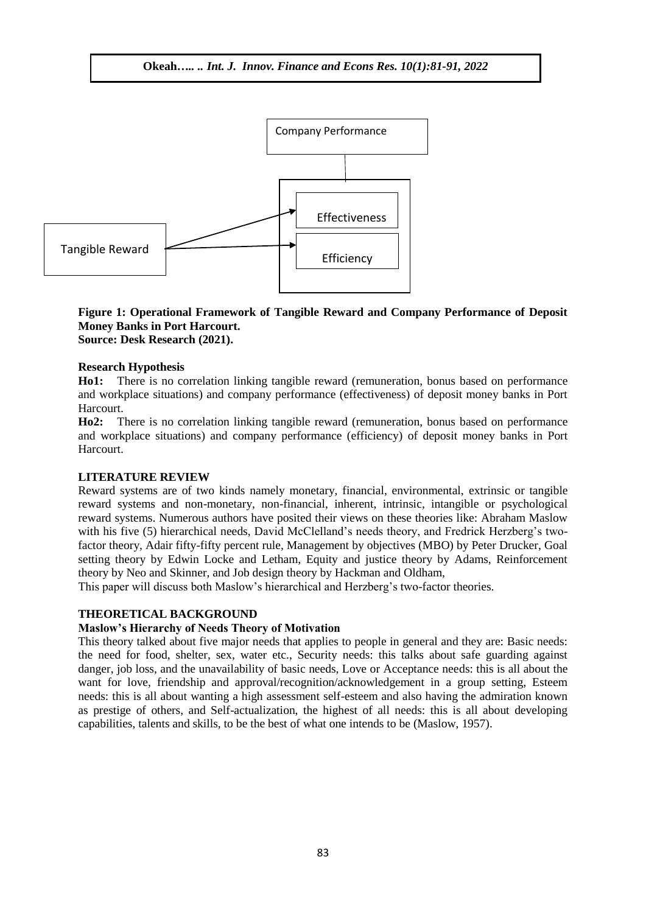

#### **Figure 1: Operational Framework of Tangible Reward and Company Performance of Deposit Money Banks in Port Harcourt. Source: Desk Research (2021).**

#### **Research Hypothesis**

**Ho1:** There is no correlation linking tangible reward (remuneration, bonus based on performance and workplace situations) and company performance (effectiveness) of deposit money banks in Port Harcourt.

**Ho2:** There is no correlation linking tangible reward (remuneration, bonus based on performance and workplace situations) and company performance (efficiency) of deposit money banks in Port Harcourt.

#### **LITERATURE REVIEW**

Reward systems are of two kinds namely monetary, financial, environmental, extrinsic or tangible reward systems and non-monetary, non-financial, inherent, intrinsic, intangible or psychological reward systems. Numerous authors have posited their views on these theories like: Abraham Maslow with his five (5) hierarchical needs, David McClelland's needs theory, and Fredrick Herzberg's twofactor theory, Adair fifty-fifty percent rule, Management by objectives (MBO) by Peter Drucker, Goal setting theory by Edwin Locke and Letham, Equity and justice theory by Adams, Reinforcement theory by Neo and Skinner, and Job design theory by Hackman and Oldham,

This paper will discuss both Maslow's hierarchical and Herzberg's two-factor theories.

#### **THEORETICAL BACKGROUND**

#### **Maslow's Hierarchy of Needs Theory of Motivation**

This theory talked about five major needs that applies to people in general and they are: Basic needs: the need for food, shelter, sex, water etc., Security needs: this talks about safe guarding against danger, job loss, and the unavailability of basic needs, Love or Acceptance needs: this is all about the want for love, friendship and approval/recognition/acknowledgement in a group setting, Esteem needs: this is all about wanting a high assessment self-esteem and also having the admiration known as prestige of others, and Self-actualization, the highest of all needs: this is all about developing capabilities, talents and skills, to be the best of what one intends to be (Maslow, 1957).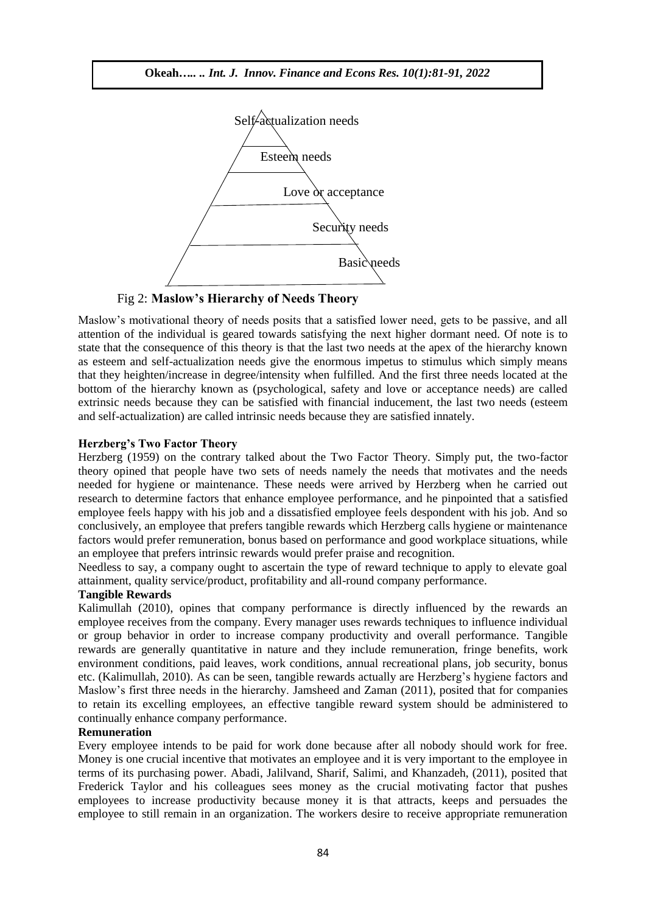

Fig 2: **Maslow's Hierarchy of Needs Theory**

Maslow's motivational theory of needs posits that a satisfied lower need, gets to be passive, and all attention of the individual is geared towards satisfying the next higher dormant need. Of note is to state that the consequence of this theory is that the last two needs at the apex of the hierarchy known as esteem and self-actualization needs give the enormous impetus to stimulus which simply means that they heighten/increase in degree/intensity when fulfilled. And the first three needs located at the bottom of the hierarchy known as (psychological, safety and love or acceptance needs) are called extrinsic needs because they can be satisfied with financial inducement, the last two needs (esteem and self-actualization) are called intrinsic needs because they are satisfied innately.

#### **Herzberg's Two Factor Theory**

Herzberg (1959) on the contrary talked about the Two Factor Theory. Simply put, the two-factor theory opined that people have two sets of needs namely the needs that motivates and the needs needed for hygiene or maintenance. These needs were arrived by Herzberg when he carried out research to determine factors that enhance employee performance, and he pinpointed that a satisfied employee feels happy with his job and a dissatisfied employee feels despondent with his job. And so conclusively, an employee that prefers tangible rewards which Herzberg calls hygiene or maintenance factors would prefer remuneration, bonus based on performance and good workplace situations, while an employee that prefers intrinsic rewards would prefer praise and recognition.

Needless to say, a company ought to ascertain the type of reward technique to apply to elevate goal attainment, quality service/product, profitability and all-round company performance.

#### **Tangible Rewards**

Kalimullah (2010), opines that company performance is directly influenced by the rewards an employee receives from the company. Every manager uses rewards techniques to influence individual or group behavior in order to increase company productivity and overall performance. Tangible rewards are generally quantitative in nature and they include remuneration, fringe benefits, work environment conditions, paid leaves, work conditions, annual recreational plans, job security, bonus etc. (Kalimullah, 2010). As can be seen, tangible rewards actually are Herzberg's hygiene factors and Maslow's first three needs in the hierarchy. Jamsheed and Zaman (2011), posited that for companies to retain its excelling employees, an effective tangible reward system should be administered to continually enhance company performance.

#### **Remuneration**

Every employee intends to be paid for work done because after all nobody should work for free. Money is one crucial incentive that motivates an employee and it is very important to the employee in terms of its purchasing power. Abadi, Jalilvand, Sharif, Salimi, and Khanzadeh, (2011), posited that Frederick Taylor and his colleagues sees money as the crucial motivating factor that pushes employees to increase productivity because money it is that attracts, keeps and persuades the employee to still remain in an organization. The workers desire to receive appropriate remuneration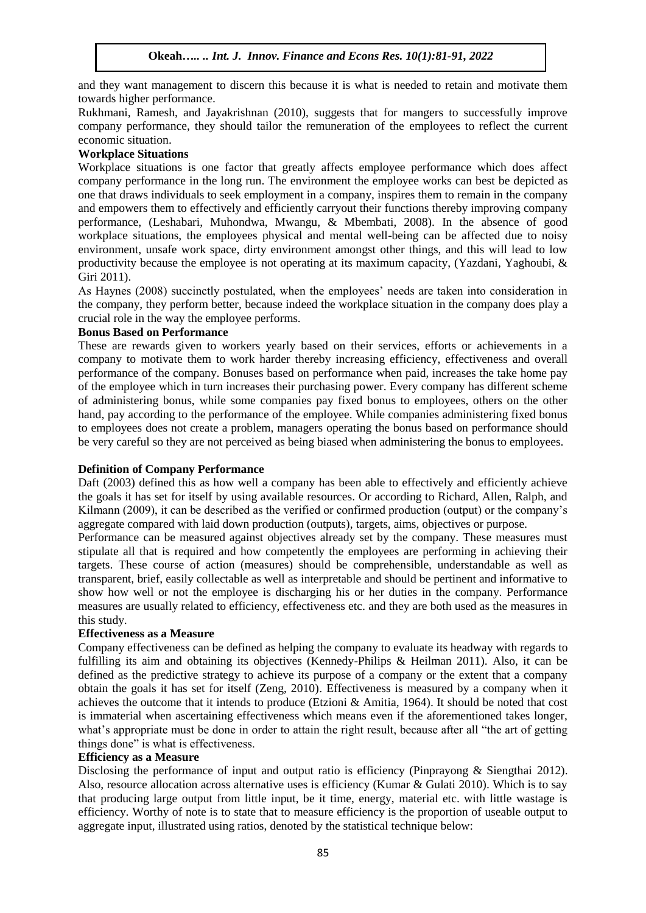and they want management to discern this because it is what is needed to retain and motivate them towards higher performance.

Rukhmani, Ramesh, and Jayakrishnan (2010), suggests that for mangers to successfully improve company performance, they should tailor the remuneration of the employees to reflect the current economic situation.

## **Workplace Situations**

Workplace situations is one factor that greatly affects employee performance which does affect company performance in the long run. The environment the employee works can best be depicted as one that draws individuals to seek employment in a company, inspires them to remain in the company and empowers them to effectively and efficiently carryout their functions thereby improving company performance, (Leshabari, Muhondwa, Mwangu, & Mbembati, 2008). In the absence of good workplace situations, the employees physical and mental well-being can be affected due to noisy environment, unsafe work space, dirty environment amongst other things, and this will lead to low productivity because the employee is not operating at its maximum capacity, (Yazdani, Yaghoubi, & Giri 2011).

As Haynes (2008) succinctly postulated, when the employees' needs are taken into consideration in the company, they perform better, because indeed the workplace situation in the company does play a crucial role in the way the employee performs.

#### **Bonus Based on Performance**

These are rewards given to workers yearly based on their services, efforts or achievements in a company to motivate them to work harder thereby increasing efficiency, effectiveness and overall performance of the company. Bonuses based on performance when paid, increases the take home pay of the employee which in turn increases their purchasing power. Every company has different scheme of administering bonus, while some companies pay fixed bonus to employees, others on the other hand, pay according to the performance of the employee. While companies administering fixed bonus to employees does not create a problem, managers operating the bonus based on performance should be very careful so they are not perceived as being biased when administering the bonus to employees.

#### **Definition of Company Performance**

Daft (2003) defined this as how well a company has been able to effectively and efficiently achieve the goals it has set for itself by using available resources. Or according to Richard, Allen, Ralph, and Kilmann (2009), it can be described as the verified or confirmed production (output) or the company's aggregate compared with laid down production (outputs), targets, aims, objectives or purpose.

Performance can be measured against objectives already set by the company. These measures must stipulate all that is required and how competently the employees are performing in achieving their targets. These course of action (measures) should be comprehensible, understandable as well as transparent, brief, easily collectable as well as interpretable and should be pertinent and informative to show how well or not the employee is discharging his or her duties in the company. Performance measures are usually related to efficiency, effectiveness etc. and they are both used as the measures in this study.

#### **Effectiveness as a Measure**

Company effectiveness can be defined as helping the company to evaluate its headway with regards to fulfilling its aim and obtaining its objectives (Kennedy-Philips & Heilman 2011). Also, it can be defined as the predictive strategy to achieve its purpose of a company or the extent that a company obtain the goals it has set for itself (Zeng, 2010). Effectiveness is measured by a company when it achieves the outcome that it intends to produce (Etzioni & Amitia, 1964). It should be noted that cost is immaterial when ascertaining effectiveness which means even if the aforementioned takes longer, what's appropriate must be done in order to attain the right result, because after all "the art of getting things done" is what is effectiveness.

#### **Efficiency as a Measure**

Disclosing the performance of input and output ratio is efficiency (Pinprayong & Siengthai 2012). Also, resource allocation across alternative uses is efficiency (Kumar & Gulati 2010). Which is to say that producing large output from little input, be it time, energy, material etc. with little wastage is efficiency. Worthy of note is to state that to measure efficiency is the proportion of useable output to aggregate input, illustrated using ratios, denoted by the statistical technique below: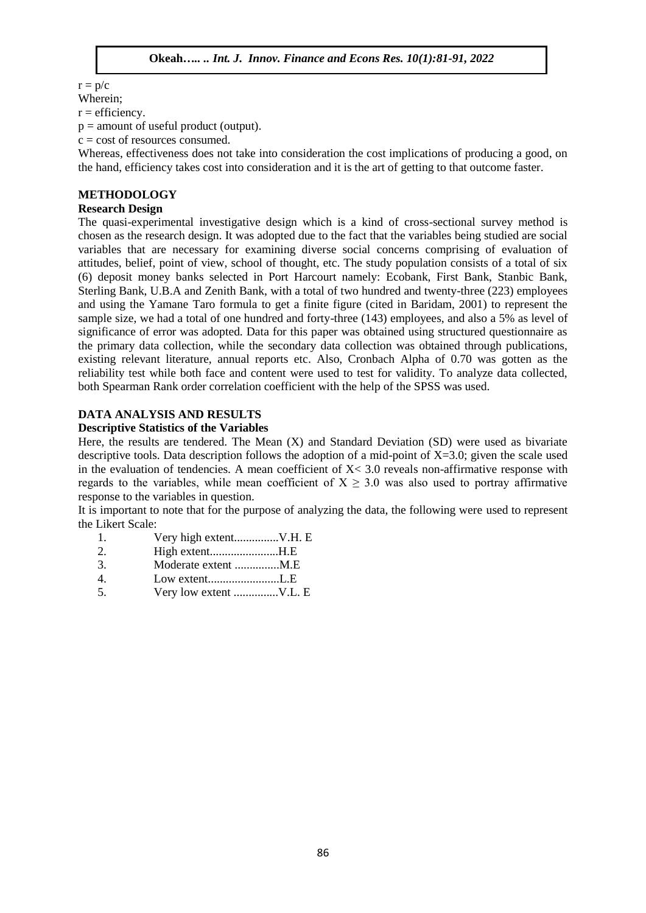$r = p/c$ 

## Wherein;

 $r =$  efficiency.

 $p =$  amount of useful product (output).

 $c = \text{cost of resources consumed}.$ 

Whereas, effectiveness does not take into consideration the cost implications of producing a good, on the hand, efficiency takes cost into consideration and it is the art of getting to that outcome faster.

## **METHODOLOGY**

#### **Research Design**

The quasi-experimental investigative design which is a kind of cross-sectional survey method is chosen as the research design. It was adopted due to the fact that the variables being studied are social variables that are necessary for examining diverse social concerns comprising of evaluation of attitudes, belief, point of view, school of thought, etc. The study population consists of a total of six (6) deposit money banks selected in Port Harcourt namely: Ecobank, First Bank, Stanbic Bank, Sterling Bank, U.B.A and Zenith Bank, with a total of two hundred and twenty-three (223) employees and using the Yamane Taro formula to get a finite figure (cited in Baridam, 2001) to represent the sample size, we had a total of one hundred and forty-three (143) employees, and also a 5% as level of significance of error was adopted. Data for this paper was obtained using structured questionnaire as the primary data collection, while the secondary data collection was obtained through publications, existing relevant literature, annual reports etc. Also, Cronbach Alpha of 0.70 was gotten as the reliability test while both face and content were used to test for validity. To analyze data collected, both Spearman Rank order correlation coefficient with the help of the SPSS was used.

## **DATA ANALYSIS AND RESULTS**

## **Descriptive Statistics of the Variables**

Here, the results are tendered. The Mean (X) and Standard Deviation (SD) were used as bivariate descriptive tools. Data description follows the adoption of a mid-point of  $X=3.0$ ; given the scale used in the evaluation of tendencies. A mean coefficient of  $X < 3.0$  reveals non-affirmative response with regards to the variables, while mean coefficient of  $X \geq 3.0$  was also used to portray affirmative response to the variables in question.

It is important to note that for the purpose of analyzing the data, the following were used to represent the Likert Scale:

- 1. Very high extent...............V.H. E
- 2. High extent.......................H.E
- 3. Moderate extent ...............M.E
- 4. Low extent........................L.E
- 5. Very low extent ...............V.L. E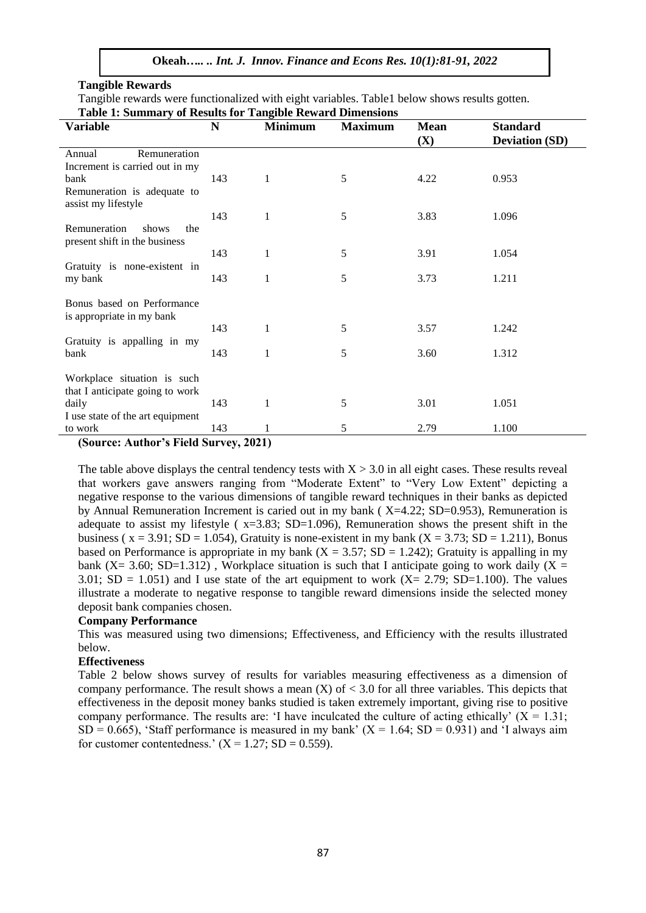#### **Tangible Rewards**

Tangible rewards were functionalized with eight variables. Table1 below shows results gotten.

| <b>Table 1: Summary of Results for Tangible Reward Dimensions</b> |     |                |                |                    |                                          |  |
|-------------------------------------------------------------------|-----|----------------|----------------|--------------------|------------------------------------------|--|
| <b>Variable</b>                                                   | N   | <b>Minimum</b> | <b>Maximum</b> | <b>Mean</b><br>(X) | <b>Standard</b><br><b>Deviation (SD)</b> |  |
| Remuneration<br>Annual                                            |     |                |                |                    |                                          |  |
| Increment is carried out in my                                    |     |                |                |                    |                                          |  |
| bank                                                              | 143 | $\mathbf{1}$   | 5              | 4.22               | 0.953                                    |  |
| Remuneration is adequate to<br>assist my lifestyle                |     |                |                |                    |                                          |  |
|                                                                   | 143 | 1              | 5              | 3.83               | 1.096                                    |  |
| Remuneration<br>shows<br>the<br>present shift in the business     |     |                |                |                    |                                          |  |
|                                                                   | 143 | 1              | 5              | 3.91               | 1.054                                    |  |
| Gratuity is none-existent in                                      |     |                |                |                    |                                          |  |
| my bank                                                           | 143 | 1              | 5              | 3.73               | 1.211                                    |  |
| Bonus based on Performance<br>is appropriate in my bank           |     |                |                |                    |                                          |  |
|                                                                   | 143 | 1              | 5              | 3.57               | 1.242                                    |  |
| Gratuity is appalling in my                                       |     |                |                |                    |                                          |  |
| bank                                                              | 143 | 1              | 5              | 3.60               | 1.312                                    |  |
|                                                                   |     |                |                |                    |                                          |  |
| Workplace situation is such                                       |     |                |                |                    |                                          |  |
| that I anticipate going to work                                   |     |                |                |                    |                                          |  |
| daily                                                             | 143 | 1              | 5              | 3.01               | 1.051                                    |  |
| I use state of the art equipment                                  |     |                |                |                    |                                          |  |
| to work                                                           | 143 | 1              | 5              | 2.79               | 1.100                                    |  |

**(Source: Author's Field Survey, 2021)**

The table above displays the central tendency tests with  $X > 3.0$  in all eight cases. These results reveal that workers gave answers ranging from "Moderate Extent" to "Very Low Extent" depicting a negative response to the various dimensions of tangible reward techniques in their banks as depicted by Annual Remuneration Increment is caried out in my bank ( $X=4.22$ ; SD=0.953), Remuneration is adequate to assist my lifestyle ( x=3.83; SD=1.096), Remuneration shows the present shift in the business ( $x = 3.91$ ; SD = 1.054), Gratuity is none-existent in my bank ( $X = 3.73$ ; SD = 1.211), Bonus based on Performance is appropriate in my bank  $(X = 3.57; SD = 1.242)$ ; Gratuity is appalling in my bank (X= 3.60; SD=1.312), Workplace situation is such that I anticipate going to work daily (X = 3.01; SD = 1.051) and I use state of the art equipment to work  $(X = 2.79; SD=1.100)$ . The values illustrate a moderate to negative response to tangible reward dimensions inside the selected money deposit bank companies chosen.

#### **Company Performance**

This was measured using two dimensions; Effectiveness, and Efficiency with the results illustrated below.

## **Effectiveness**

Table 2 below shows survey of results for variables measuring effectiveness as a dimension of company performance. The result shows a mean  $(X)$  of  $\lt 3.0$  for all three variables. This depicts that effectiveness in the deposit money banks studied is taken extremely important, giving rise to positive company performance. The results are: 'I have inculcated the culture of acting ethically'  $(X = 1.31)$ ;  $SD = 0.665$ , 'Staff performance is measured in my bank'  $(X = 1.64; SD = 0.931)$  and 'I always aim for customer contentedness.'  $(X = 1.27; SD = 0.559)$ .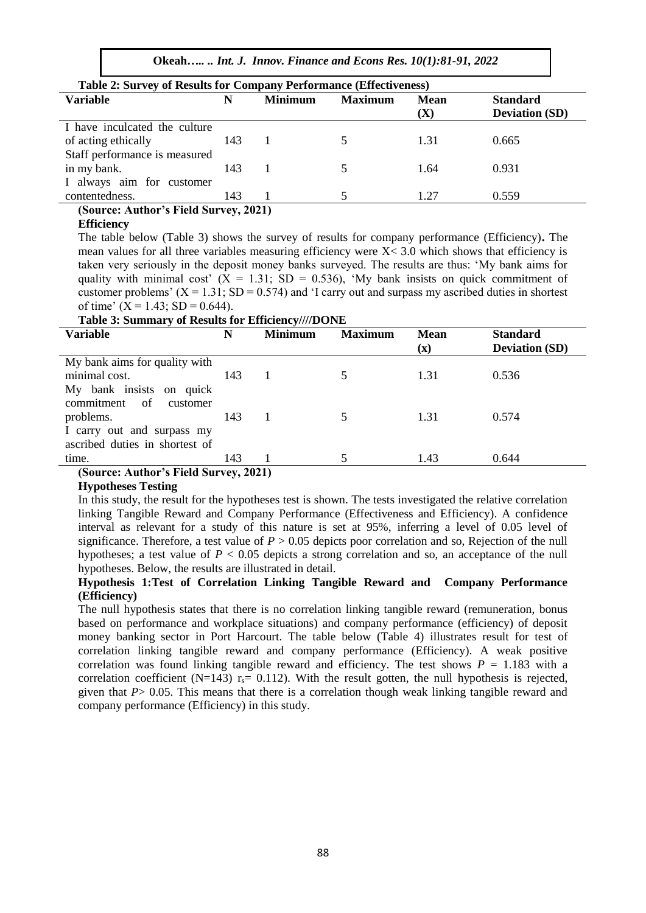**Okeah***….. .. Int. J. Innov. Finance and Econs Res. 10(1):81-91, 2022*

| <b>Table 2: Survey of Results for Company Performance (Effectiveness)</b> |     |                |                |                    |                                          |
|---------------------------------------------------------------------------|-----|----------------|----------------|--------------------|------------------------------------------|
| <b>Variable</b>                                                           | N   | <b>Minimum</b> | <b>Maximum</b> | <b>Mean</b><br>(X) | <b>Standard</b><br><b>Deviation (SD)</b> |
| I have inculcated the culture                                             |     |                |                |                    |                                          |
| of acting ethically                                                       | 143 |                |                | 1.31               | 0.665                                    |
| Staff performance is measured                                             |     |                |                |                    |                                          |
| in my bank.                                                               | 143 |                |                | 1.64               | 0.931                                    |
| I always aim for customer                                                 |     |                |                |                    |                                          |
| contentedness.                                                            | 143 |                |                | 1.27               | 0.559                                    |

**(Source: Author's Field Survey, 2021) Efficiency**

The table below (Table 3) shows the survey of results for company performance (Efficiency)**.** The mean values for all three variables measuring efficiency were  $X < 3.0$  which shows that efficiency is taken very seriously in the deposit money banks surveyed. The results are thus: 'My bank aims for quality with minimal cost'  $(X = 1.31; SD = 0.536)$ , 'My bank insists on quick commitment of customer problems'  $(X = 1.31; SD = 0.574)$  and 'I carry out and surpass my ascribed duties in shortest of time'  $(X = 1.43; SD = 0.644)$ .

#### **Table 3: Summary of Results for Efficiency////DONE**

| <b>Variable</b>                      | N   | <b>Minimum</b>      | <b>Maximum</b> | <b>Mean</b>    | <b>Standard</b>       |
|--------------------------------------|-----|---------------------|----------------|----------------|-----------------------|
|                                      |     |                     |                | $(\mathbf{x})$ | <b>Deviation (SD)</b> |
| My bank aims for quality with        |     |                     |                |                |                       |
| minimal cost.                        | 143 |                     |                | 1.31           | 0.536                 |
| My bank insists on quick             |     |                     |                |                |                       |
| commitment of<br>customer            |     |                     |                |                |                       |
| problems.                            | 143 |                     |                | 1.31           | 0.574                 |
| I carry out and surpass my           |     |                     |                |                |                       |
| ascribed duties in shortest of       |     |                     |                |                |                       |
| time.                                | 143 |                     |                | 1.43           | 0.644                 |
| $\sim$<br>$\cdots$<br>$\lambda$<br>. |     | $A \wedge A \wedge$ |                |                |                       |

**(Source: Author's Field Survey, 2021)**

#### **Hypotheses Testing**

In this study, the result for the hypotheses test is shown. The tests investigated the relative correlation linking Tangible Reward and Company Performance (Effectiveness and Efficiency). A confidence interval as relevant for a study of this nature is set at 95%, inferring a level of 0.05 level of significance. Therefore, a test value of  $P > 0.05$  depicts poor correlation and so, Rejection of the null hypotheses; a test value of  $P < 0.05$  depicts a strong correlation and so, an acceptance of the null hypotheses. Below, the results are illustrated in detail.

#### **Hypothesis 1:Test of Correlation Linking Tangible Reward and Company Performance (Efficiency)**

The null hypothesis states that there is no correlation linking tangible reward (remuneration, bonus based on performance and workplace situations) and company performance (efficiency) of deposit money banking sector in Port Harcourt. The table below (Table 4) illustrates result for test of correlation linking tangible reward and company performance (Efficiency). A weak positive correlation was found linking tangible reward and efficiency. The test shows  $P = 1.183$  with a correlation coefficient (N=143)  $r_s = 0.112$ ). With the result gotten, the null hypothesis is rejected, given that *P*> 0.05. This means that there is a correlation though weak linking tangible reward and company performance (Efficiency) in this study.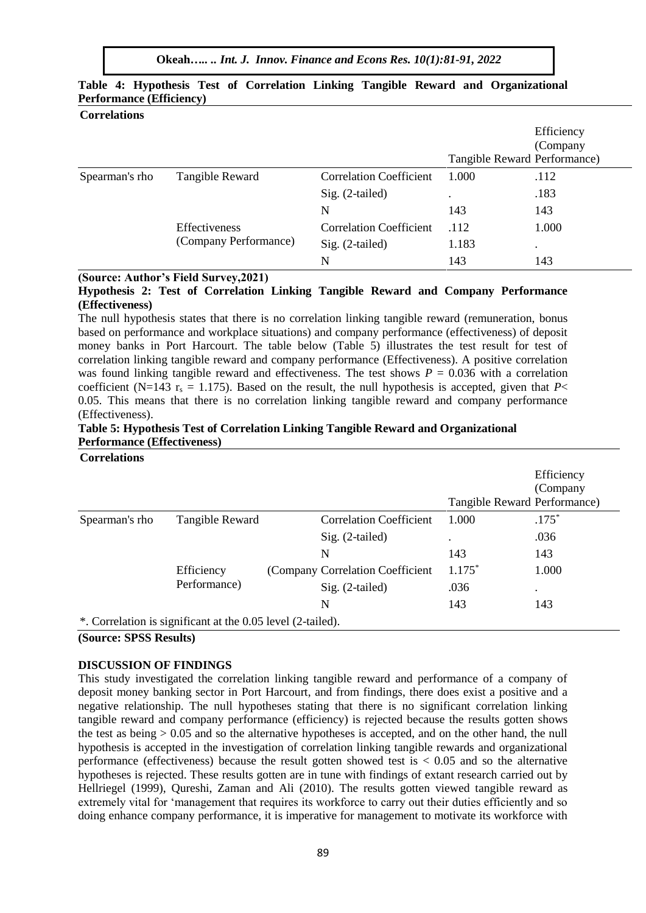|                |                                        |                                | Tangible Reward Performance) | Efficiency<br>(Company |
|----------------|----------------------------------------|--------------------------------|------------------------------|------------------------|
| Spearman's rho | Tangible Reward                        | <b>Correlation Coefficient</b> | 1.000                        | .112                   |
|                |                                        | $Sig. (2-tailed)$              | ٠                            | .183                   |
|                |                                        | N                              | 143                          | 143                    |
|                | Effectiveness<br>(Company Performance) | <b>Correlation Coefficient</b> | .112                         | 1.000                  |
|                |                                        | Sig. (2-tailed)                | 1.183                        | $\bullet$              |
|                |                                        | N                              | 143                          | 143                    |

## **Table 4: Hypothesis Test of Correlation Linking Tangible Reward and Organizational Performance (Efficiency) Correlations**

#### **(Source: Author's Field Survey,2021)**

**Hypothesis 2: Test of Correlation Linking Tangible Reward and Company Performance (Effectiveness)**

The null hypothesis states that there is no correlation linking tangible reward (remuneration, bonus based on performance and workplace situations) and company performance (effectiveness) of deposit money banks in Port Harcourt. The table below (Table 5) illustrates the test result for test of correlation linking tangible reward and company performance (Effectiveness). A positive correlation was found linking tangible reward and effectiveness. The test shows  $P = 0.036$  with a correlation coefficient (N=143 r<sub>s</sub> = 1.175). Based on the result, the null hypothesis is accepted, given that *P*< 0.05. This means that there is no correlation linking tangible reward and company performance (Effectiveness).

## **Table 5: Hypothesis Test of Correlation Linking Tangible Reward and Organizational Performance (Effectiveness)**

**Correlations**

|                |                                                             |                                  |                              | Efficiency |
|----------------|-------------------------------------------------------------|----------------------------------|------------------------------|------------|
|                |                                                             |                                  |                              | (Company   |
|                |                                                             |                                  | Tangible Reward Performance) |            |
| Spearman's rho | Tangible Reward                                             | <b>Correlation Coefficient</b>   | 1.000                        | $.175*$    |
|                |                                                             | $Sig. (2-tailed)$                | ٠                            | .036       |
|                |                                                             | N                                | 143                          | 143        |
|                | Efficiency<br>Performance)                                  | (Company Correlation Coefficient | $1.175*$                     | 1.000      |
|                |                                                             | $Sig. (2-tailed)$                | .036                         | $\bullet$  |
|                |                                                             | N                                | 143                          | 143        |
|                | *. Correlation is significant at the 0.05 level (2-tailed). |                                  |                              |            |

#### **(Source: SPSS Results)**

#### **DISCUSSION OF FINDINGS**

This study investigated the correlation linking tangible reward and performance of a company of deposit money banking sector in Port Harcourt, and from findings, there does exist a positive and a negative relationship. The null hypotheses stating that there is no significant correlation linking tangible reward and company performance (efficiency) is rejected because the results gotten shows the test as being > 0.05 and so the alternative hypotheses is accepted, and on the other hand, the null hypothesis is accepted in the investigation of correlation linking tangible rewards and organizational performance (effectiveness) because the result gotten showed test is < 0.05 and so the alternative hypotheses is rejected. These results gotten are in tune with findings of extant research carried out by Hellriegel (1999), Qureshi, Zaman and Ali (2010). The results gotten viewed tangible reward as extremely vital for 'management that requires its workforce to carry out their duties efficiently and so doing enhance company performance, it is imperative for management to motivate its workforce with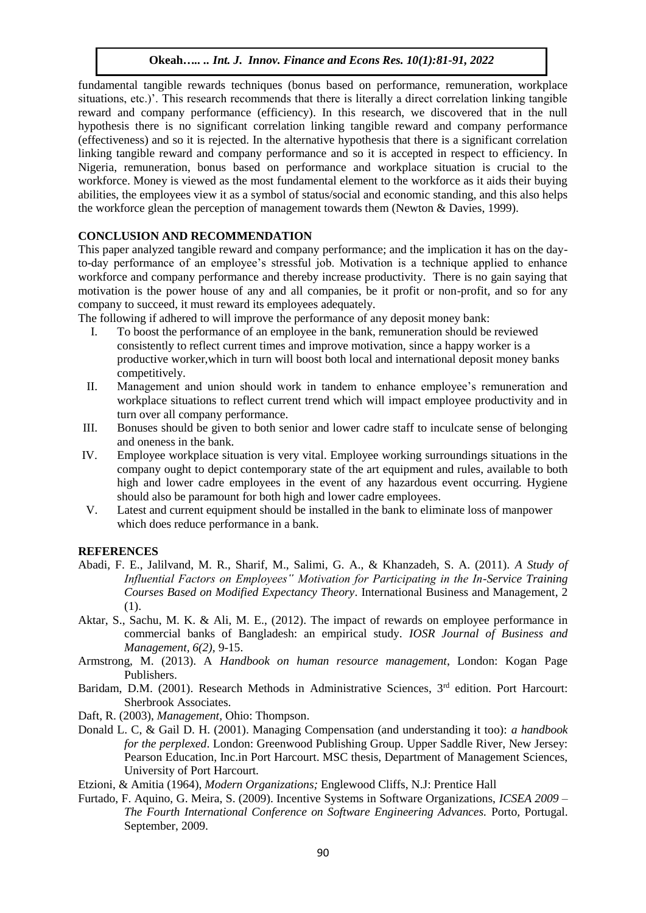fundamental tangible rewards techniques (bonus based on performance, remuneration, workplace situations, etc.)'. This research recommends that there is literally a direct correlation linking tangible reward and company performance (efficiency). In this research, we discovered that in the null hypothesis there is no significant correlation linking tangible reward and company performance (effectiveness) and so it is rejected. In the alternative hypothesis that there is a significant correlation linking tangible reward and company performance and so it is accepted in respect to efficiency. In Nigeria, remuneration, bonus based on performance and workplace situation is crucial to the workforce. Money is viewed as the most fundamental element to the workforce as it aids their buying abilities, the employees view it as a symbol of status/social and economic standing, and this also helps the workforce glean the perception of management towards them (Newton & Davies, 1999).

## **CONCLUSION AND RECOMMENDATION**

This paper analyzed tangible reward and company performance; and the implication it has on the dayto-day performance of an employee's stressful job. Motivation is a technique applied to enhance workforce and company performance and thereby increase productivity. There is no gain saying that motivation is the power house of any and all companies, be it profit or non-profit, and so for any company to succeed, it must reward its employees adequately.

The following if adhered to will improve the performance of any deposit money bank:

- I. To boost the performance of an employee in the bank, remuneration should be reviewed consistently to reflect current times and improve motivation, since a happy worker is a productive worker,which in turn will boost both local and international deposit money banks competitively.
- II. Management and union should work in tandem to enhance employee's remuneration and workplace situations to reflect current trend which will impact employee productivity and in turn over all company performance.
- III. Bonuses should be given to both senior and lower cadre staff to inculcate sense of belonging and oneness in the bank.
- IV. Employee workplace situation is very vital. Employee working surroundings situations in the company ought to depict contemporary state of the art equipment and rules, available to both high and lower cadre employees in the event of any hazardous event occurring. Hygiene should also be paramount for both high and lower cadre employees.
- V. Latest and current equipment should be installed in the bank to eliminate loss of manpower which does reduce performance in a bank.

#### **REFERENCES**

- Abadi, F. E., Jalilvand, M. R., Sharif, M., Salimi, G. A., & Khanzadeh, S. A. (2011). *A Study of Influential Factors on Employees" Motivation for Participating in the In-Service Training Courses Based on Modified Expectancy Theory*. International Business and Management, 2  $(1)$ .
- Aktar, S., Sachu, M. K. & Ali, M. E., (2012). The impact of rewards on employee performance in commercial banks of Bangladesh: an empirical study. *IOSR Journal of Business and Management, 6(2),* 9-15.
- Armstrong, M. (2013). A *Handbook on human resource management*, London: Kogan Page Publishers.
- Baridam, D.M. (2001). Research Methods in Administrative Sciences, 3<sup>rd</sup> edition. Port Harcourt: Sherbrook Associates.
- Daft, R. (2003), *Management,* Ohio: Thompson.
- Donald L. C, & Gail D. H. (2001). Managing Compensation (and understanding it too): *a handbook for the perplexed*. London: Greenwood Publishing Group. Upper Saddle River, New Jersey: Pearson Education, Inc.in Port Harcourt. MSC thesis, Department of Management Sciences, University of Port Harcourt.

Etzioni, & Amitia (1964), *Modern Organizations;* Englewood Cliffs, N.J: Prentice Hall

Furtado, F. Aquino, G. Meira, S. (2009). Incentive Systems in Software Organizations, *ICSEA 2009 – The Fourth International Conference on Software Engineering Advances.* Porto*,* Portugal. September, 2009.